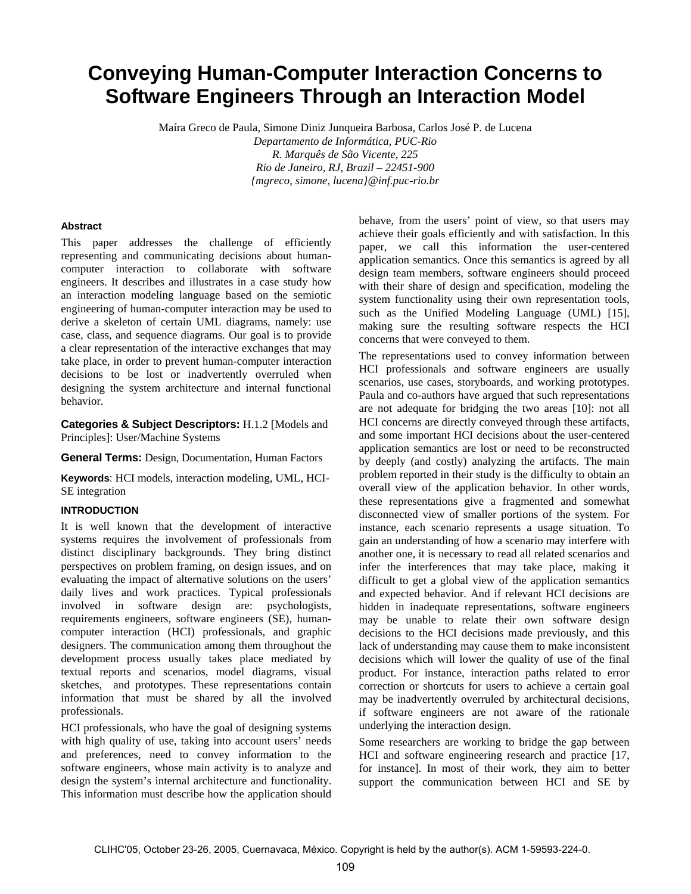# **Conveying Human-Computer Interaction Concerns to Software Engineers Through an Interaction Model**

Maíra Greco de Paula, Simone Diniz Junqueira Barbosa, Carlos José P. de Lucena *Departamento de Informática, PUC-Rio R. Marquês de São Vicente, 225 Rio de Janeiro, RJ, Brazil – 22451-900 {mgreco, simone, lucena}@inf.puc-rio.br* 

# **Abstract**

This paper addresses the challenge of efficiently representing and communicating decisions about humancomputer interaction to collaborate with software engineers. It describes and illustrates in a case study how an interaction modeling language based on the semiotic engineering of human-computer interaction may be used to derive a skeleton of certain UML diagrams, namely: use case, class, and sequence diagrams. Our goal is to provide a clear representation of the interactive exchanges that may take place, in order to prevent human-computer interaction decisions to be lost or inadvertently overruled when designing the system architecture and internal functional behavior.

**Categories & Subject Descriptors:** H.1.2 [Models and Principles]: User/Machine Systems

**General Terms:** Design, Documentation, Human Factors

**Keywords**: HCI models, interaction modeling, UML, HCI-SE integration

# **INTRODUCTION**

It is well known that the development of interactive systems requires the involvement of professionals from distinct disciplinary backgrounds. They bring distinct perspectives on problem framing, on design issues, and on evaluating the impact of alternative solutions on the users' daily lives and work practices. Typical professionals involved in software design are: psychologists, requirements engineers, software engineers (SE), humancomputer interaction (HCI) professionals, and graphic designers. The communication among them throughout the development process usually takes place mediated by textual reports and scenarios, model diagrams, visual sketches, and prototypes. These representations contain information that must be shared by all the involved professionals.

HCI professionals, who have the goal of designing systems with high quality of use, taking into account users' needs and preferences, need to convey information to the software engineers, whose main activity is to analyze and design the system's internal architecture and functionality. This information must describe how the application should

behave, from the users' point of view, so that users may achieve their goals efficiently and with satisfaction. In this paper, we call this information the user-centered application semantics. Once this semantics is agreed by all design team members, software engineers should proceed with their share of design and specification, modeling the system functionality using their own representation tools, such as the Unified Modeling Language (UML) [15], making sure the resulting software respects the HCI concerns that were conveyed to them.

The representations used to convey information between HCI professionals and software engineers are usually scenarios, use cases, storyboards, and working prototypes. Paula and co-authors have argued that such representations are not adequate for bridging the two areas [10]: not all HCI concerns are directly conveyed through these artifacts, and some important HCI decisions about the user-centered application semantics are lost or need to be reconstructed by deeply (and costly) analyzing the artifacts. The main problem reported in their study is the difficulty to obtain an overall view of the application behavior. In other words, these representations give a fragmented and somewhat disconnected view of smaller portions of the system. For instance, each scenario represents a usage situation. To gain an understanding of how a scenario may interfere with another one, it is necessary to read all related scenarios and infer the interferences that may take place, making it difficult to get a global view of the application semantics and expected behavior. And if relevant HCI decisions are hidden in inadequate representations, software engineers may be unable to relate their own software design decisions to the HCI decisions made previously, and this lack of understanding may cause them to make inconsistent decisions which will lower the quality of use of the final product. For instance, interaction paths related to error correction or shortcuts for users to achieve a certain goal may be inadvertently overruled by architectural decisions, if software engineers are not aware of the rationale underlying the interaction design.

Some researchers are working to bridge the gap between HCI and software engineering research and practice [17, for instance]. In most of their work, they aim to better support the communication between HCI and SE by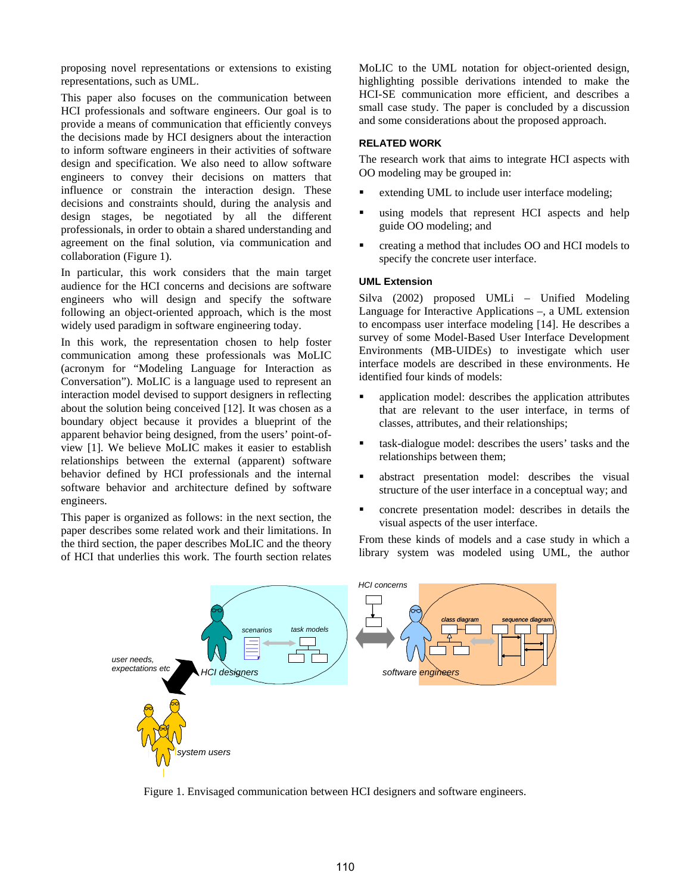proposing novel representations or extensions to existing representations, such as UML.

This paper also focuses on the communication between HCI professionals and software engineers. Our goal is to provide a means of communication that efficiently conveys the decisions made by HCI designers about the interaction to inform software engineers in their activities of software design and specification. We also need to allow software engineers to convey their decisions on matters that influence or constrain the interaction design. These decisions and constraints should, during the analysis and design stages, be negotiated by all the different professionals, in order to obtain a shared understanding and agreement on the final solution, via communication and collaboration (Figure 1).

In particular, this work considers that the main target audience for the HCI concerns and decisions are software engineers who will design and specify the software following an object-oriented approach, which is the most widely used paradigm in software engineering today.

In this work, the representation chosen to help foster communication among these professionals was MoLIC (acronym for "Modeling Language for Interaction as Conversation"). MoLIC is a language used to represent an interaction model devised to support designers in reflecting about the solution being conceived [12]. It was chosen as a boundary object because it provides a blueprint of the apparent behavior being designed, from the users' point-ofview [1]. We believe MoLIC makes it easier to establish relationships between the external (apparent) software behavior defined by HCI professionals and the internal software behavior and architecture defined by software engineers.

This paper is organized as follows: in the next section, the paper describes some related work and their limitations. In the third section, the paper describes MoLIC and the theory of HCI that underlies this work. The fourth section relates

MoLIC to the UML notation for object-oriented design, highlighting possible derivations intended to make the HCI-SE communication more efficient, and describes a small case study. The paper is concluded by a discussion and some considerations about the proposed approach.

# **RELATED WORK**

The research work that aims to integrate HCI aspects with OO modeling may be grouped in:

- extending UML to include user interface modeling;
- using models that represent HCI aspects and help guide OO modeling; and
- creating a method that includes OO and HCI models to specify the concrete user interface.

# **UML Extension**

Silva (2002) proposed UMLi – Unified Modeling Language for Interactive Applications –, a UML extension to encompass user interface modeling [14]. He describes a survey of some Model-Based User Interface Development Environments (MB-UIDEs) to investigate which user interface models are described in these environments. He identified four kinds of models:

- application model: describes the application attributes that are relevant to the user interface, in terms of classes, attributes, and their relationships;
- task-dialogue model: describes the users' tasks and the relationships between them;
- **abstract** presentation model: describes the visual structure of the user interface in a conceptual way; and
- concrete presentation model: describes in details the visual aspects of the user interface.

From these kinds of models and a case study in which a library system was modeled using UML, the author



Figure 1. Envisaged communication between HCI designers and software engineers.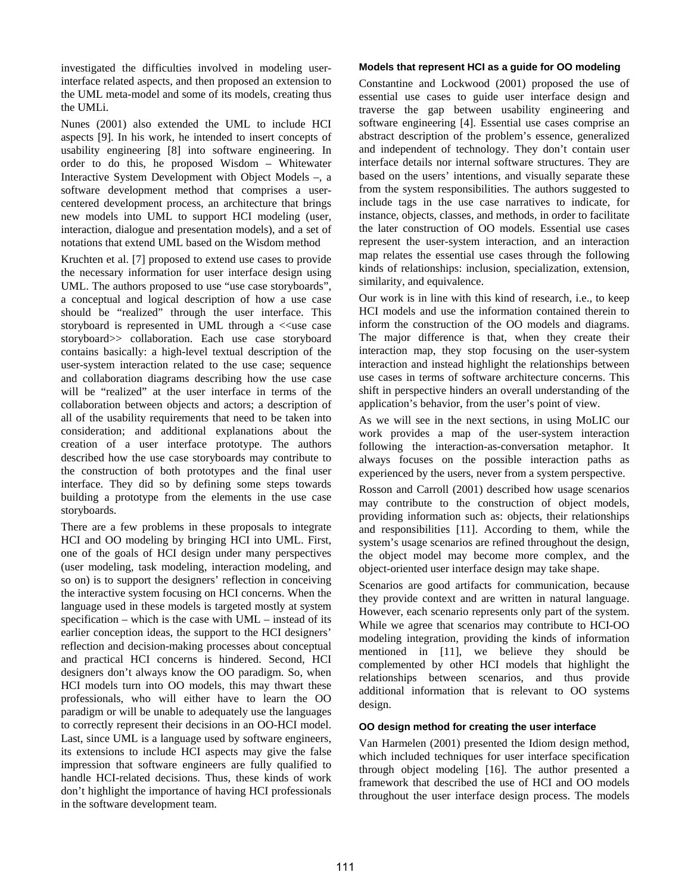investigated the difficulties involved in modeling userinterface related aspects, and then proposed an extension to the UML meta-model and some of its models, creating thus the UMLi.

Nunes (2001) also extended the UML to include HCI aspects [9]. In his work, he intended to insert concepts of usability engineering [8] into software engineering. In order to do this, he proposed Wisdom – Whitewater Interactive System Development with Object Models –, a software development method that comprises a usercentered development process, an architecture that brings new models into UML to support HCI modeling (user, interaction, dialogue and presentation models), and a set of notations that extend UML based on the Wisdom method

Kruchten et al. [7] proposed to extend use cases to provide the necessary information for user interface design using UML. The authors proposed to use "use case storyboards", a conceptual and logical description of how a use case should be "realized" through the user interface. This storyboard is represented in UML through a  $\ll$ use case storyboard>> collaboration. Each use case storyboard contains basically: a high-level textual description of the user-system interaction related to the use case; sequence and collaboration diagrams describing how the use case will be "realized" at the user interface in terms of the collaboration between objects and actors; a description of all of the usability requirements that need to be taken into consideration; and additional explanations about the creation of a user interface prototype. The authors described how the use case storyboards may contribute to the construction of both prototypes and the final user interface. They did so by defining some steps towards building a prototype from the elements in the use case storyboards.

There are a few problems in these proposals to integrate HCI and OO modeling by bringing HCI into UML. First, one of the goals of HCI design under many perspectives (user modeling, task modeling, interaction modeling, and so on) is to support the designers' reflection in conceiving the interactive system focusing on HCI concerns. When the language used in these models is targeted mostly at system specification – which is the case with UML – instead of its earlier conception ideas, the support to the HCI designers' reflection and decision-making processes about conceptual and practical HCI concerns is hindered. Second, HCI designers don't always know the OO paradigm. So, when HCI models turn into OO models, this may thwart these professionals, who will either have to learn the OO paradigm or will be unable to adequately use the languages to correctly represent their decisions in an OO-HCI model. Last, since UML is a language used by software engineers, its extensions to include HCI aspects may give the false impression that software engineers are fully qualified to handle HCI-related decisions. Thus, these kinds of work don't highlight the importance of having HCI professionals in the software development team.

# **Models that represent HCI as a guide for OO modeling**

Constantine and Lockwood (2001) proposed the use of essential use cases to guide user interface design and traverse the gap between usability engineering and software engineering [4]. Essential use cases comprise an abstract description of the problem's essence, generalized and independent of technology. They don't contain user interface details nor internal software structures. They are based on the users' intentions, and visually separate these from the system responsibilities. The authors suggested to include tags in the use case narratives to indicate, for instance, objects, classes, and methods, in order to facilitate the later construction of OO models. Essential use cases represent the user-system interaction, and an interaction map relates the essential use cases through the following kinds of relationships: inclusion, specialization, extension, similarity, and equivalence.

Our work is in line with this kind of research, i.e., to keep HCI models and use the information contained therein to inform the construction of the OO models and diagrams. The major difference is that, when they create their interaction map, they stop focusing on the user-system interaction and instead highlight the relationships between use cases in terms of software architecture concerns. This shift in perspective hinders an overall understanding of the application's behavior, from the user's point of view.

As we will see in the next sections, in using MoLIC our work provides a map of the user-system interaction following the interaction-as-conversation metaphor. It always focuses on the possible interaction paths as experienced by the users, never from a system perspective.

Rosson and Carroll (2001) described how usage scenarios may contribute to the construction of object models, providing information such as: objects, their relationships and responsibilities [11]. According to them, while the system's usage scenarios are refined throughout the design, the object model may become more complex, and the object-oriented user interface design may take shape.

Scenarios are good artifacts for communication, because they provide context and are written in natural language. However, each scenario represents only part of the system. While we agree that scenarios may contribute to HCI-OO modeling integration, providing the kinds of information mentioned in [11], we believe they should be complemented by other HCI models that highlight the relationships between scenarios, and thus provide additional information that is relevant to OO systems design.

# **OO design method for creating the user interface**

Van Harmelen (2001) presented the Idiom design method, which included techniques for user interface specification through object modeling [16]. The author presented a framework that described the use of HCI and OO models throughout the user interface design process. The models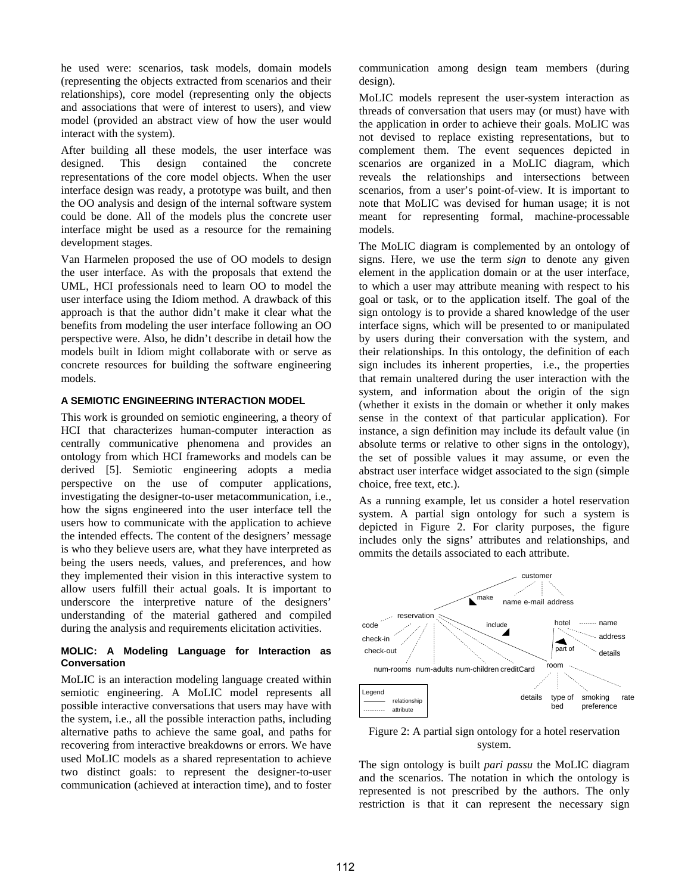he used were: scenarios, task models, domain models (representing the objects extracted from scenarios and their relationships), core model (representing only the objects and associations that were of interest to users), and view model (provided an abstract view of how the user would interact with the system).

After building all these models, the user interface was designed. This design contained the concrete representations of the core model objects. When the user interface design was ready, a prototype was built, and then the OO analysis and design of the internal software system could be done. All of the models plus the concrete user interface might be used as a resource for the remaining development stages.

Van Harmelen proposed the use of OO models to design the user interface. As with the proposals that extend the UML, HCI professionals need to learn OO to model the user interface using the Idiom method. A drawback of this approach is that the author didn't make it clear what the benefits from modeling the user interface following an OO perspective were. Also, he didn't describe in detail how the models built in Idiom might collaborate with or serve as concrete resources for building the software engineering models.

# **A SEMIOTIC ENGINEERING INTERACTION MODEL**

This work is grounded on semiotic engineering, a theory of HCI that characterizes human-computer interaction as centrally communicative phenomena and provides an ontology from which HCI frameworks and models can be derived [5]. Semiotic engineering adopts a media perspective on the use of computer applications, investigating the designer-to-user metacommunication, i.e., how the signs engineered into the user interface tell the users how to communicate with the application to achieve the intended effects. The content of the designers' message is who they believe users are, what they have interpreted as being the users needs, values, and preferences, and how they implemented their vision in this interactive system to allow users fulfill their actual goals. It is important to underscore the interpretive nature of the designers' understanding of the material gathered and compiled during the analysis and requirements elicitation activities.

# **MOLIC: A Modeling Language for Interaction as Conversation**

MoLIC is an interaction modeling language created within semiotic engineering. A MoLIC model represents all possible interactive conversations that users may have with the system, i.e., all the possible interaction paths, including alternative paths to achieve the same goal, and paths for recovering from interactive breakdowns or errors. We have used MoLIC models as a shared representation to achieve two distinct goals: to represent the designer-to-user communication (achieved at interaction time), and to foster

communication among design team members (during design).

MoLIC models represent the user-system interaction as threads of conversation that users may (or must) have with the application in order to achieve their goals. MoLIC was not devised to replace existing representations, but to complement them. The event sequences depicted in scenarios are organized in a MoLIC diagram, which reveals the relationships and intersections between scenarios, from a user's point-of-view. It is important to note that MoLIC was devised for human usage; it is not meant for representing formal, machine-processable models.

The MoLIC diagram is complemented by an ontology of signs. Here, we use the term *sign* to denote any given element in the application domain or at the user interface, to which a user may attribute meaning with respect to his goal or task, or to the application itself. The goal of the sign ontology is to provide a shared knowledge of the user interface signs, which will be presented to or manipulated by users during their conversation with the system, and their relationships. In this ontology, the definition of each sign includes its inherent properties, i.e., the properties that remain unaltered during the user interaction with the system, and information about the origin of the sign (whether it exists in the domain or whether it only makes sense in the context of that particular application). For instance, a sign definition may include its default value (in absolute terms or relative to other signs in the ontology), the set of possible values it may assume, or even the abstract user interface widget associated to the sign (simple choice, free text, etc.).

As a running example, let us consider a hotel reservation system. A partial sign ontology for such a system is depicted in Figure 2. For clarity purposes, the figure includes only the signs' attributes and relationships, and ommits the details associated to each attribute.



# Figure 2: A partial sign ontology for a hotel reservation system.

The sign ontology is built *pari passu* the MoLIC diagram and the scenarios. The notation in which the ontology is represented is not prescribed by the authors. The only restriction is that it can represent the necessary sign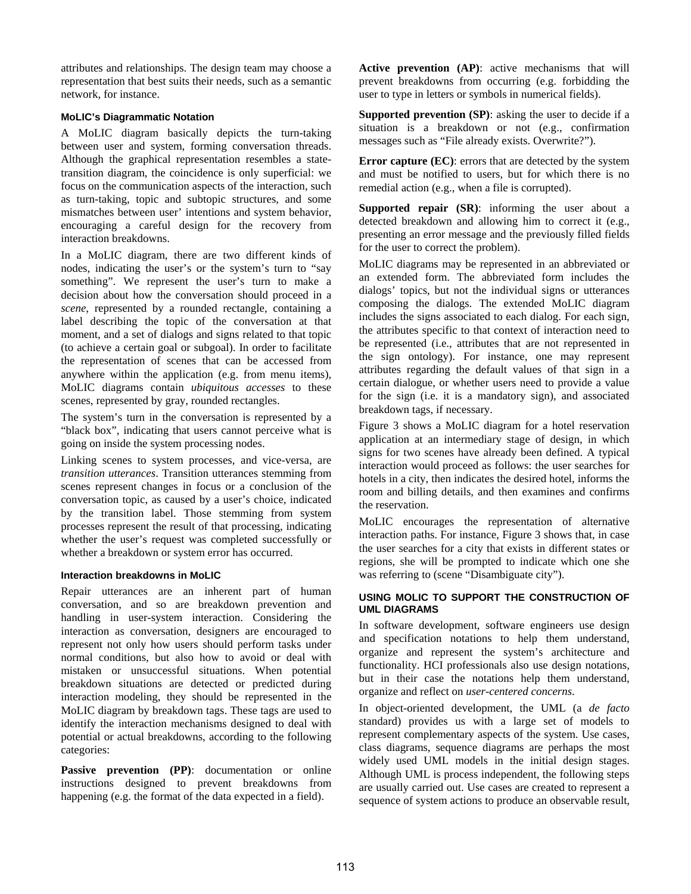attributes and relationships. The design team may choose a representation that best suits their needs, such as a semantic network, for instance.

# **MoLIC's Diagrammatic Notation**

A MoLIC diagram basically depicts the turn-taking between user and system, forming conversation threads. Although the graphical representation resembles a statetransition diagram, the coincidence is only superficial: we focus on the communication aspects of the interaction, such as turn-taking, topic and subtopic structures, and some mismatches between user' intentions and system behavior, encouraging a careful design for the recovery from interaction breakdowns.

In a MoLIC diagram, there are two different kinds of nodes, indicating the user's or the system's turn to "say something". We represent the user's turn to make a decision about how the conversation should proceed in a *scene*, represented by a rounded rectangle, containing a label describing the topic of the conversation at that moment, and a set of dialogs and signs related to that topic (to achieve a certain goal or subgoal). In order to facilitate the representation of scenes that can be accessed from anywhere within the application (e.g. from menu items), MoLIC diagrams contain *ubiquitous accesses* to these scenes, represented by gray, rounded rectangles.

The system's turn in the conversation is represented by a "black box", indicating that users cannot perceive what is going on inside the system processing nodes.

Linking scenes to system processes, and vice-versa, are *transition utterances*. Transition utterances stemming from scenes represent changes in focus or a conclusion of the conversation topic, as caused by a user's choice, indicated by the transition label. Those stemming from system processes represent the result of that processing, indicating whether the user's request was completed successfully or whether a breakdown or system error has occurred.

# **Interaction breakdowns in MoLIC**

Repair utterances are an inherent part of human conversation, and so are breakdown prevention and handling in user-system interaction. Considering the interaction as conversation, designers are encouraged to represent not only how users should perform tasks under normal conditions, but also how to avoid or deal with mistaken or unsuccessful situations. When potential breakdown situations are detected or predicted during interaction modeling, they should be represented in the MoLIC diagram by breakdown tags. These tags are used to identify the interaction mechanisms designed to deal with potential or actual breakdowns, according to the following categories:

Passive prevention (PP): documentation or online instructions designed to prevent breakdowns from happening (e.g. the format of the data expected in a field).

**Active prevention (AP)**: active mechanisms that will prevent breakdowns from occurring (e.g. forbidding the user to type in letters or symbols in numerical fields).

**Supported prevention (SP)**: asking the user to decide if a situation is a breakdown or not (e.g., confirmation messages such as "File already exists. Overwrite?").

**Error capture (EC)**: errors that are detected by the system and must be notified to users, but for which there is no remedial action (e.g., when a file is corrupted).

**Supported repair (SR)**: informing the user about a detected breakdown and allowing him to correct it (e.g., presenting an error message and the previously filled fields for the user to correct the problem).

MoLIC diagrams may be represented in an abbreviated or an extended form. The abbreviated form includes the dialogs' topics, but not the individual signs or utterances composing the dialogs. The extended MoLIC diagram includes the signs associated to each dialog. For each sign, the attributes specific to that context of interaction need to be represented (i.e., attributes that are not represented in the sign ontology). For instance, one may represent attributes regarding the default values of that sign in a certain dialogue, or whether users need to provide a value for the sign (i.e. it is a mandatory sign), and associated breakdown tags, if necessary.

Figure 3 shows a MoLIC diagram for a hotel reservation application at an intermediary stage of design, in which signs for two scenes have already been defined. A typical interaction would proceed as follows: the user searches for hotels in a city, then indicates the desired hotel, informs the room and billing details, and then examines and confirms the reservation.

MoLIC encourages the representation of alternative interaction paths. For instance, Figure 3 shows that, in case the user searches for a city that exists in different states or regions, she will be prompted to indicate which one she was referring to (scene "Disambiguate city").

# **USING MOLIC TO SUPPORT THE CONSTRUCTION OF UML DIAGRAMS**

In software development, software engineers use design and specification notations to help them understand, organize and represent the system's architecture and functionality. HCI professionals also use design notations, but in their case the notations help them understand, organize and reflect on *user-centered concerns*.

In object-oriented development, the UML (a *de facto* standard) provides us with a large set of models to represent complementary aspects of the system. Use cases, class diagrams, sequence diagrams are perhaps the most widely used UML models in the initial design stages. Although UML is process independent, the following steps are usually carried out. Use cases are created to represent a sequence of system actions to produce an observable result,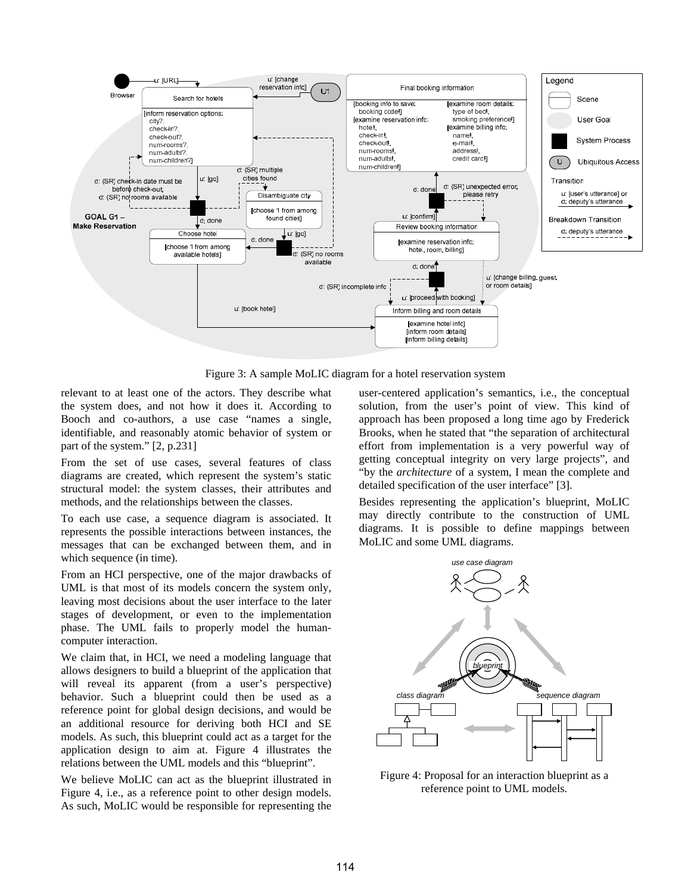

Figure 3: A sample MoLIC diagram for a hotel reservation system

relevant to at least one of the actors. They describe what the system does, and not how it does it. According to Booch and co-authors, a use case "names a single, identifiable, and reasonably atomic behavior of system or part of the system." [2, p.231]

From the set of use cases, several features of class diagrams are created, which represent the system's static structural model: the system classes, their attributes and methods, and the relationships between the classes.

To each use case, a sequence diagram is associated. It represents the possible interactions between instances, the messages that can be exchanged between them, and in which sequence (in time).

From an HCI perspective, one of the major drawbacks of UML is that most of its models concern the system only, leaving most decisions about the user interface to the later stages of development, or even to the implementation phase. The UML fails to properly model the humancomputer interaction.

We claim that, in HCI, we need a modeling language that allows designers to build a blueprint of the application that will reveal its apparent (from a user's perspective) behavior. Such a blueprint could then be used as a reference point for global design decisions, and would be an additional resource for deriving both HCI and SE models. As such, this blueprint could act as a target for the application design to aim at. Figure 4 illustrates the relations between the UML models and this "blueprint".

We believe MoLIC can act as the blueprint illustrated in Figure 4, i.e., as a reference point to other design models. As such, MoLIC would be responsible for representing the user-centered application's semantics, i.e., the conceptual solution, from the user's point of view. This kind of approach has been proposed a long time ago by Frederick Brooks, when he stated that "the separation of architectural effort from implementation is a very powerful way of getting conceptual integrity on very large projects", and "by the *architecture* of a system, I mean the complete and detailed specification of the user interface" [3].

Besides representing the application's blueprint, MoLIC may directly contribute to the construction of UML diagrams. It is possible to define mappings between MoLIC and some UML diagrams.



Figure 4: Proposal for an interaction blueprint as a reference point to UML models.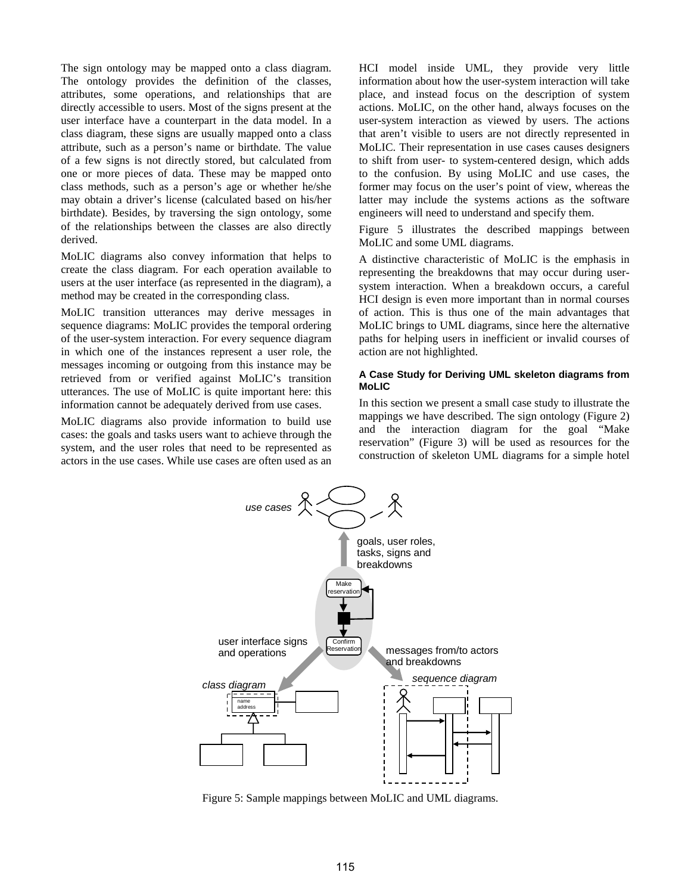The sign ontology may be mapped onto a class diagram. The ontology provides the definition of the classes, attributes, some operations, and relationships that are directly accessible to users. Most of the signs present at the user interface have a counterpart in the data model. In a class diagram, these signs are usually mapped onto a class attribute, such as a person's name or birthdate. The value of a few signs is not directly stored, but calculated from one or more pieces of data. These may be mapped onto class methods, such as a person's age or whether he/she may obtain a driver's license (calculated based on his/her birthdate). Besides, by traversing the sign ontology, some of the relationships between the classes are also directly derived.

MoLIC diagrams also convey information that helps to create the class diagram. For each operation available to users at the user interface (as represented in the diagram), a method may be created in the corresponding class.

MoLIC transition utterances may derive messages in sequence diagrams: MoLIC provides the temporal ordering of the user-system interaction. For every sequence diagram in which one of the instances represent a user role, the messages incoming or outgoing from this instance may be retrieved from or verified against MoLIC's transition utterances. The use of MoLIC is quite important here: this information cannot be adequately derived from use cases.

MoLIC diagrams also provide information to build use cases: the goals and tasks users want to achieve through the system, and the user roles that need to be represented as actors in the use cases. While use cases are often used as an HCI model inside UML, they provide very little information about how the user-system interaction will take place, and instead focus on the description of system actions. MoLIC, on the other hand, always focuses on the user-system interaction as viewed by users. The actions that aren't visible to users are not directly represented in MoLIC. Their representation in use cases causes designers to shift from user- to system-centered design, which adds to the confusion. By using MoLIC and use cases, the former may focus on the user's point of view, whereas the latter may include the systems actions as the software engineers will need to understand and specify them.

Figure 5 illustrates the described mappings between MoLIC and some UML diagrams.

A distinctive characteristic of MoLIC is the emphasis in representing the breakdowns that may occur during usersystem interaction. When a breakdown occurs, a careful HCI design is even more important than in normal courses of action. This is thus one of the main advantages that MoLIC brings to UML diagrams, since here the alternative paths for helping users in inefficient or invalid courses of action are not highlighted.

#### **A Case Study for Deriving UML skeleton diagrams from MoLIC**

In this section we present a small case study to illustrate the mappings we have described. The sign ontology (Figure 2) and the interaction diagram for the goal "Make reservation" (Figure 3) will be used as resources for the construction of skeleton UML diagrams for a simple hotel



Figure 5: Sample mappings between MoLIC and UML diagrams.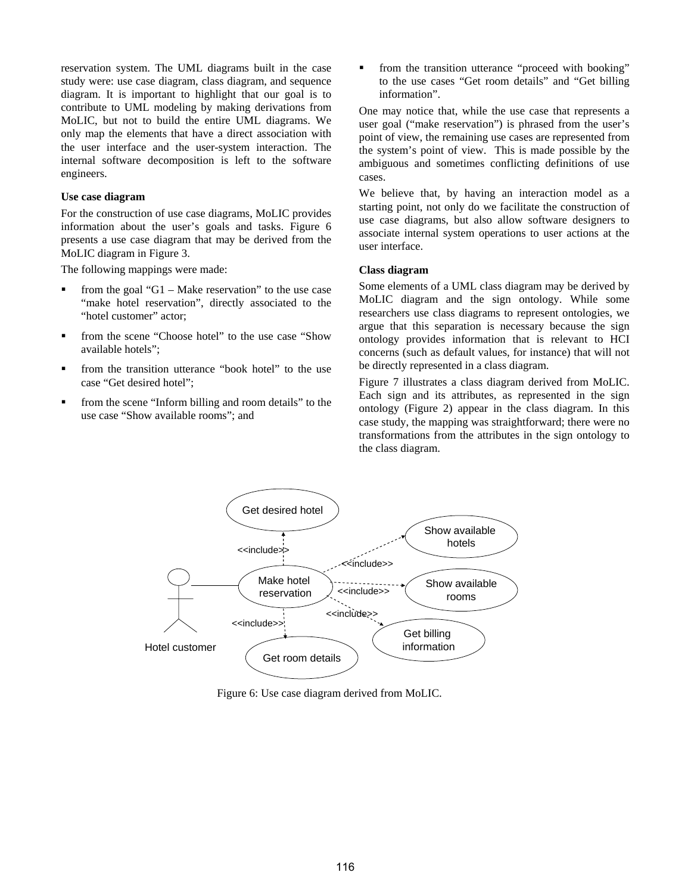reservation system. The UML diagrams built in the case study were: use case diagram, class diagram, and sequence diagram. It is important to highlight that our goal is to contribute to UML modeling by making derivations from MoLIC, but not to build the entire UML diagrams. We only map the elements that have a direct association with the user interface and the user-system interaction. The internal software decomposition is left to the software engineers.

#### **Use case diagram**

For the construction of use case diagrams, MoLIC provides information about the user's goals and tasks. Figure 6 presents a use case diagram that may be derived from the MoLIC diagram in Figure 3.

The following mappings were made:

- from the goal "G1 Make reservation" to the use case "make hotel reservation", directly associated to the "hotel customer" actor:
- from the scene "Choose hotel" to the use case "Show available hotels";
- from the transition utterance "book hotel" to the use case "Get desired hotel";
- from the scene "Inform billing and room details" to the use case "Show available rooms"; and

 from the transition utterance "proceed with booking" to the use cases "Get room details" and "Get billing information".

One may notice that, while the use case that represents a user goal ("make reservation") is phrased from the user's point of view, the remaining use cases are represented from the system's point of view. This is made possible by the ambiguous and sometimes conflicting definitions of use cases.

We believe that, by having an interaction model as a starting point, not only do we facilitate the construction of use case diagrams, but also allow software designers to associate internal system operations to user actions at the user interface.

# **Class diagram**

Some elements of a UML class diagram may be derived by MoLIC diagram and the sign ontology. While some researchers use class diagrams to represent ontologies, we argue that this separation is necessary because the sign ontology provides information that is relevant to HCI concerns (such as default values, for instance) that will not be directly represented in a class diagram.

Figure 7 illustrates a class diagram derived from MoLIC. Each sign and its attributes, as represented in the sign ontology (Figure 2) appear in the class diagram. In this case study, the mapping was straightforward; there were no transformations from the attributes in the sign ontology to the class diagram.



Figure 6: Use case diagram derived from MoLIC.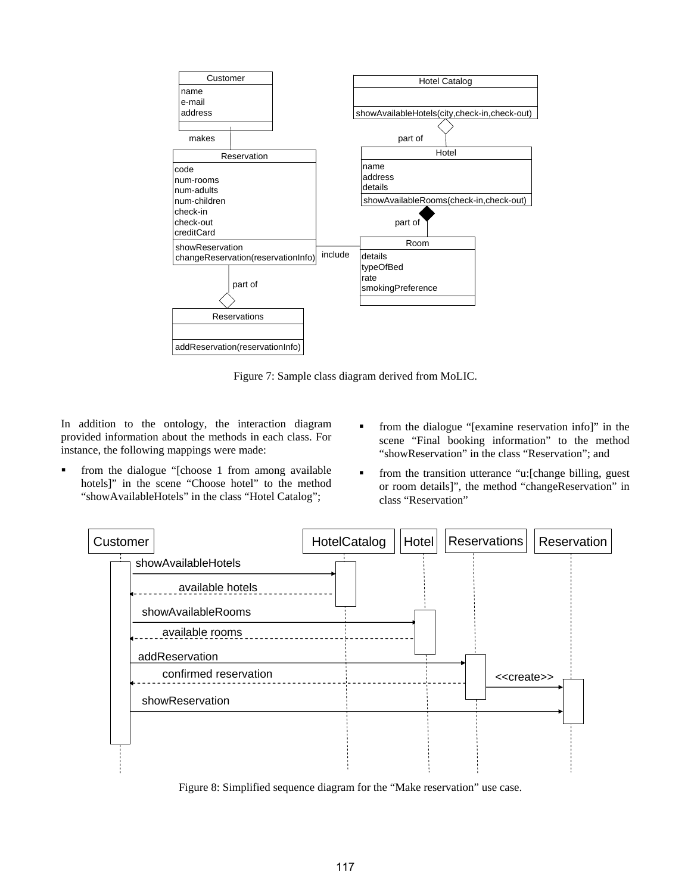

Figure 7: Sample class diagram derived from MoLIC.

In addition to the ontology, the interaction diagram provided information about the methods in each class. For instance, the following mappings were made:

- from the dialogue "[choose 1 from among available hotels]" in the scene "Choose hotel" to the method "showAvailableHotels" in the class "Hotel Catalog";
- from the dialogue "[examine reservation info]" in the scene "Final booking information" to the method "showReservation" in the class "Reservation"; and
- **from the transition utterance "u:**[change billing, guest] or room details]", the method "changeReservation" in class "Reservation"



Figure 8: Simplified sequence diagram for the "Make reservation" use case.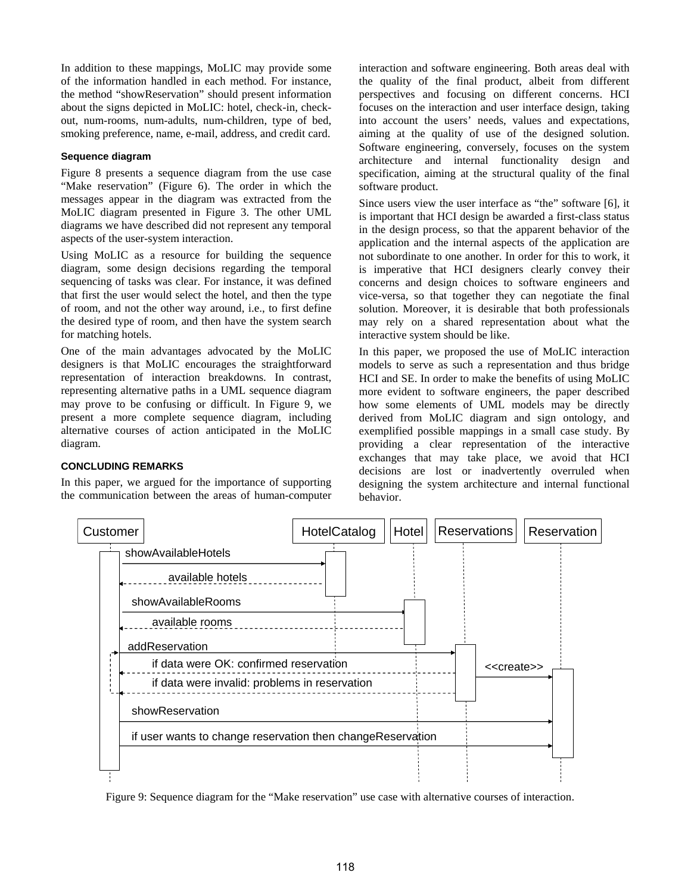In addition to these mappings, MoLIC may provide some of the information handled in each method. For instance, the method "showReservation" should present information about the signs depicted in MoLIC: hotel, check-in, checkout, num-rooms, num-adults, num-children, type of bed, smoking preference, name, e-mail, address, and credit card.

# **Sequence diagram**

Figure 8 presents a sequence diagram from the use case "Make reservation" (Figure 6). The order in which the messages appear in the diagram was extracted from the MoLIC diagram presented in Figure 3. The other UML diagrams we have described did not represent any temporal aspects of the user-system interaction.

Using MoLIC as a resource for building the sequence diagram, some design decisions regarding the temporal sequencing of tasks was clear. For instance, it was defined that first the user would select the hotel, and then the type of room, and not the other way around, i.e., to first define the desired type of room, and then have the system search for matching hotels.

One of the main advantages advocated by the MoLIC designers is that MoLIC encourages the straightforward representation of interaction breakdowns. In contrast, representing alternative paths in a UML sequence diagram may prove to be confusing or difficult. In Figure 9, we present a more complete sequence diagram, including alternative courses of action anticipated in the MoLIC diagram.

# **CONCLUDING REMARKS**

In this paper, we argued for the importance of supporting the communication between the areas of human-computer interaction and software engineering. Both areas deal with the quality of the final product, albeit from different perspectives and focusing on different concerns. HCI focuses on the interaction and user interface design, taking into account the users' needs, values and expectations, aiming at the quality of use of the designed solution. Software engineering, conversely, focuses on the system architecture and internal functionality design and specification, aiming at the structural quality of the final software product.

Since users view the user interface as "the" software [6], it is important that HCI design be awarded a first-class status in the design process, so that the apparent behavior of the application and the internal aspects of the application are not subordinate to one another. In order for this to work, it is imperative that HCI designers clearly convey their concerns and design choices to software engineers and vice-versa, so that together they can negotiate the final solution. Moreover, it is desirable that both professionals may rely on a shared representation about what the interactive system should be like.

In this paper, we proposed the use of MoLIC interaction models to serve as such a representation and thus bridge HCI and SE. In order to make the benefits of using MoLIC more evident to software engineers, the paper described how some elements of UML models may be directly derived from MoLIC diagram and sign ontology, and exemplified possible mappings in a small case study. By providing a clear representation of the interactive exchanges that may take place, we avoid that HCI decisions are lost or inadvertently overruled when designing the system architecture and internal functional behavior.



Figure 9: Sequence diagram for the "Make reservation" use case with alternative courses of interaction.